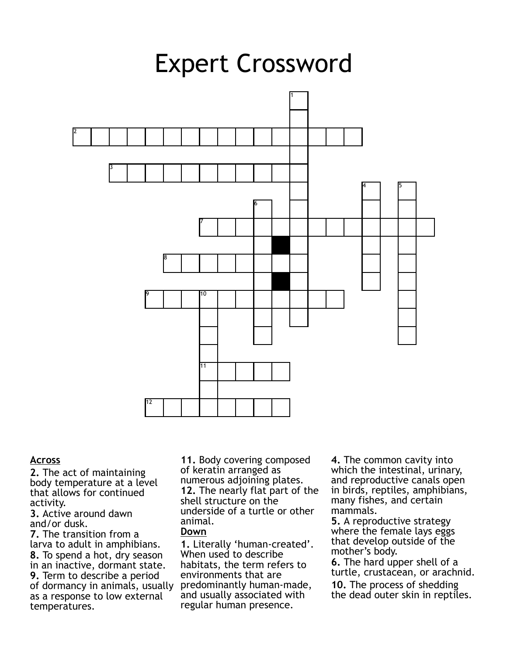

## **Across**

**2.** The act of maintaining body temperature at a level that allows for continued activity.

**3.** Active around dawn and/or dusk.

**7.** The transition from a larva to adult in amphibians. **8.** To spend a hot, dry season in an inactive, dormant state. **9.** Term to describe a period of dormancy in animals, usually as a response to low external temperatures.

**11.** Body covering composed of keratin arranged as numerous adjoining plates. **12.** The nearly flat part of the shell structure on the underside of a turtle or other animal.

# **Down**

**1.** Literally 'human-created'. When used to describe habitats, the term refers to environments that are predominantly human-made, and usually associated with regular human presence.

**4.** The common cavity into which the intestinal, urinary, and reproductive canals open in birds, reptiles, amphibians, many fishes, and certain mammals.

**5.** A reproductive strategy where the female lays eggs that develop outside of the mother's body.

**6.** The hard upper shell of a turtle, crustacean, or arachnid.

**10.** The process of shedding the dead outer skin in reptiles.